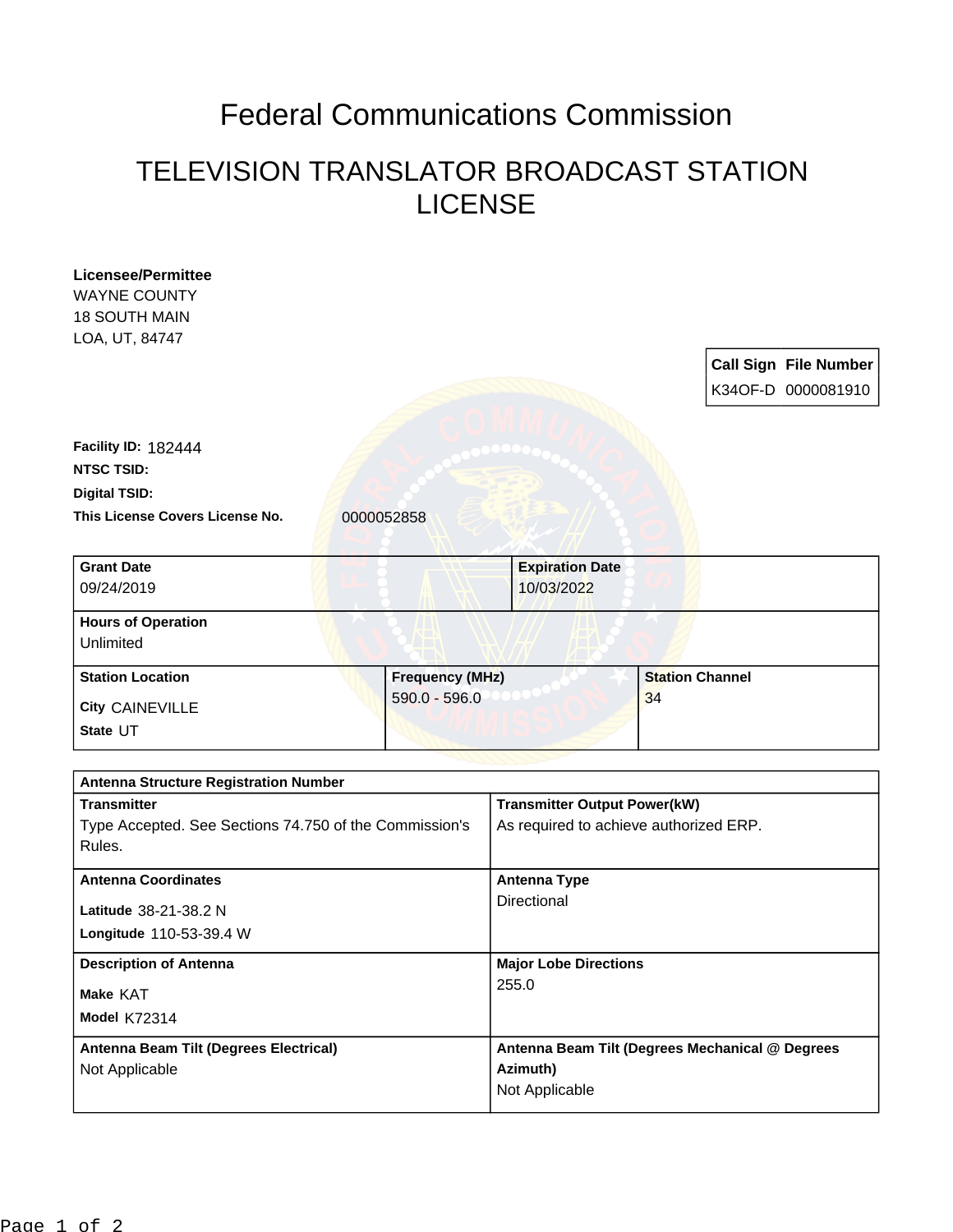## Federal Communications Commission

## TELEVISION TRANSLATOR BROADCAST STATION LICENSE

| <b>Licensee/Permittee</b>                              |                        |                                        |                                                 |
|--------------------------------------------------------|------------------------|----------------------------------------|-------------------------------------------------|
| <b>WAYNE COUNTY</b>                                    |                        |                                        |                                                 |
| <b>18 SOUTH MAIN</b>                                   |                        |                                        |                                                 |
| LOA, UT, 84747                                         |                        |                                        |                                                 |
|                                                        |                        |                                        | <b>Call Sign File Number</b>                    |
|                                                        |                        |                                        | K34OF-D 0000081910                              |
|                                                        |                        |                                        |                                                 |
| <b>Facility ID: 182444</b>                             |                        |                                        |                                                 |
| <b>NTSC TSID:</b>                                      |                        |                                        |                                                 |
| <b>Digital TSID:</b>                                   |                        |                                        |                                                 |
| This License Covers License No.                        | 0000052858             |                                        |                                                 |
|                                                        |                        |                                        |                                                 |
| <b>Grant Date</b>                                      |                        | <b>Expiration Date</b>                 |                                                 |
| 09/24/2019                                             |                        | 10/03/2022                             |                                                 |
|                                                        |                        |                                        |                                                 |
| <b>Hours of Operation</b>                              |                        |                                        |                                                 |
| Unlimited                                              |                        |                                        |                                                 |
| <b>Station Location</b>                                | <b>Frequency (MHz)</b> |                                        | <b>Station Channel</b>                          |
| <b>City CAINEVILLE</b>                                 | $590.0 - 596.0$        |                                        | 34                                              |
| State UT                                               |                        |                                        |                                                 |
|                                                        |                        |                                        |                                                 |
| <b>Antenna Structure Registration Number</b>           |                        |                                        |                                                 |
| <b>Transmitter</b>                                     |                        | <b>Transmitter Output Power(kW)</b>    |                                                 |
| Type Accepted. See Sections 74.750 of the Commission's |                        | As required to achieve authorized ERP. |                                                 |
| Rules.                                                 |                        |                                        |                                                 |
| <b>Antenna Coordinates</b>                             |                        | <b>Antenna Type</b>                    |                                                 |
| Latitude 38-21-38.2 N                                  |                        | Directional                            |                                                 |
| Longitude 110-53-39.4 W                                |                        |                                        |                                                 |
|                                                        |                        |                                        |                                                 |
| <b>Description of Antenna</b>                          |                        | <b>Major Lobe Directions</b>           |                                                 |
| Make KAT                                               |                        | 255.0                                  |                                                 |
| <b>Model K72314</b>                                    |                        |                                        |                                                 |
| Antenna Beam Tilt (Degrees Electrical)                 |                        |                                        | Antenna Beam Tilt (Degrees Mechanical @ Degrees |
| Not Applicable                                         |                        | Azimuth)                               |                                                 |
|                                                        |                        | Not Applicable                         |                                                 |